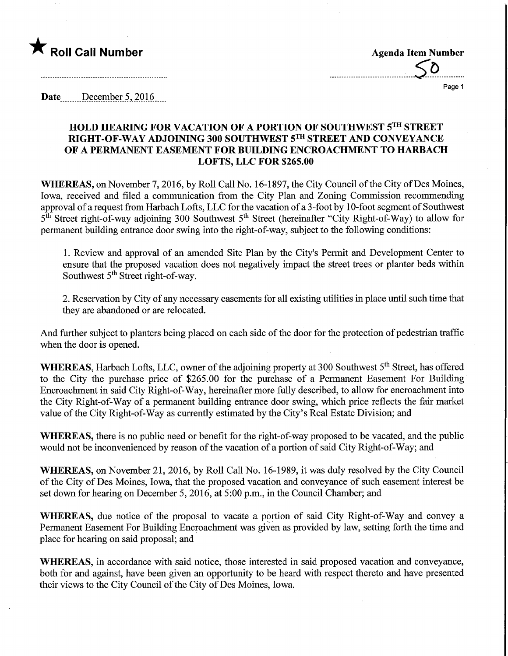

Page 1

Date December 5, 2016

## HOLD HEARING FOR VACATION OF A PORTION OF SOUTHWEST 5TH STREET RIGHT-OF-WAY ADJOINING 300 SOUTHWEST 5™ STREET AND CONVEYANCE OF A PERMANENT EASEMENT FOR BUILDING ENCROACHMENT TO HARBACH LOFTS, LLC FOR \$265.00

WHEREAS, on November 7, 2016, by Roll Call No. 16-1897, the City Council of the City of Des Moines, Iowa, received and filed a communication from the City Plan and Zoning Commission recommending approval of a request from Harbach Lofts, LLC for the vacation of a 3-foot by 10-foot segment of Southwest 5<sup>th</sup> Street right-of-way adjoining 300 Southwest 5<sup>th</sup> Street (hereinafter "City Right-of-Way) to allow for permanent building entrance door swing into the right-of-way, subject to the following conditions:

1. Review and approval of an amended Site Plan by the City's Permit and Development Center to ensure that the proposed vacation does not negatively impact the street trees or planter beds within Southwest 5<sup>th</sup> Street right-of-way.

2. Reservation by City of any necessary easements for all existing utilities in place until such time that they are abandoned or are relocated.

And further subject to planters being placed on each side of the door for the protection of pedestrian traffic when the door is opened.

WHEREAS, Harbach Lofts, LLC, owner of the adjoining property at 300 Southwest 5<sup>th</sup> Street, has offered to the City the purchase price of \$265.00 for the purchase of a Permanent Easement For Building Encroachment in said City Right-of-Way, hereinafter more fully described, to allow for encroachment into the City Right-of-Way of a permanent building entrance door swing, which price reflects the fair market value of the City Right-of-Way as currently estimated by the City's Real Estate Division; and

WHEREAS, there is no public need or benefit for the right-of-way proposed to be vacated, and the public would not be inconvenienced by reason of the vacation of a portion of said City Right-of-Way; and

WHEREAS, on November 21, 2016, by Roll Call No. 16-1989, it was duly resolved by the City Council of the City of Des Moines, Iowa, that the proposed vacation and conveyance of such easement interest be set down for hearing on December 5, 2016, at 5:00 p.m., in the Council Chamber; and

WHEREAS, due notice of the proposal to vacate a portion of said City Right-of-Way and convey a Permanent Easement For Building Encroachment was given as provided by law, setting forth the time and place for hearing on said proposal; and

WHEREAS, in accordance with said notice, those interested in said proposed vacation and conveyance, both for and against, have been given an opportunity to be heard with respect thereto and have presented their views to the City Council of the City of Des Moines, Iowa.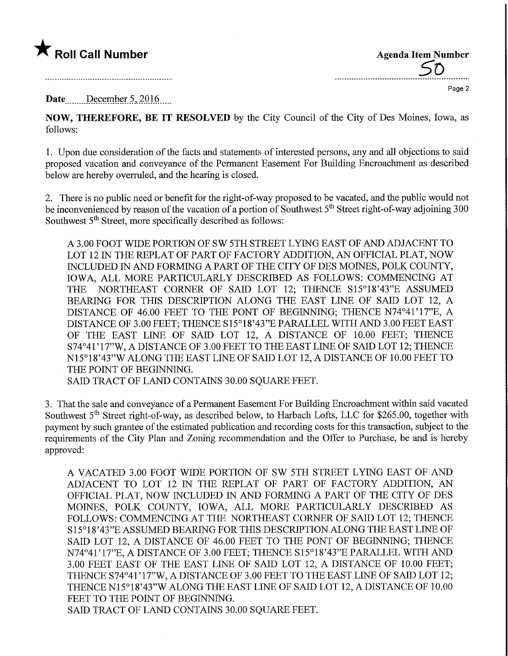## $\bigstar$  Roll Call Number

**Agenda Item Number** 

Page 2

## Date December 5, 2016

NOW, THEREFORE, BE IT RESOLVED by the City Council of the City of Des Moines, Iowa, as follows:

1. Upon due consideration of the facts and statements of interested persons, any and all objections to said proposed vacation and conveyance of the Permanent Easement For Building Encroachment as described below are hereby overruled, and the hearing is closed.

2. There is no public need or benefit for the right-of-way proposed to be vacated, and the public would not be inconvenienced by reason of the vacation of a portion of Southwest 5<sup>th</sup> Street right-of-way adjoining 300 Southwest 5<sup>th</sup> Street, more specifically described as follows:

A 3.00 FOOT WIDE PORTION OF SW 5TH STREET LYING EAST OF AND ADJACENT TO LOT 12 IN THE REPEAT OF PART OF FACTORY ADDITION, AN OFFICIAL PLAT, NOW INCLUDED IN AND FORMING A PART OF THE CITY OF DES MOINES, POLK COUNTY, IOWA, ALL MORE PARTICULARLY DESCRIBED AS FOLLOWS: COMMENCING AT THE NORTHEAST CORNER OF SAID LOT 12; THENCE S15°18'43"E ASSUMED BEARING FOR THIS DESCRIPTION ALONG THE EAST LINE OF SAID LOT 12, A DISTANCE OF 46.00 FEET TO THE FONT OF BEGINNING; THENCE N74°41'17"E, A DISTANCE OF 3.00 FEET; THENCE S15°18'43"E PARALLEL WITH AND 3.00 FEET EAST OF THE EAST LINE OF SAID LOT 12, A DISTANCE OF 10.00 FEET; THENCE S74°41'17"W, A DISTANCE OF 3.00 FEET TO THE EAST LINE OF SAID LOT 12; THENCE N15°18'43"W ALONG THE EAST LINE OF SAID LOT 12, A DISTANCE OF 10.00 FEET TO THE POINT OF BEGINNING.

SAID TRACT OF LAND CONTAINS 30.00 SQUARE FEET.

3. That the sale and conveyance of a Permanent Easement For Building Encroachment within said vacated Southwest  $5<sup>th</sup>$  Street right-of-way, as described below, to Harbach Lofts, LLC for \$265.00, together with payment by such grantee of the estimated publication and recording costs for this transaction, subject to the requirements of the City Plan and Zoning recommendation and the Offer to Purchase, be and is hereby approved:

A VACATED 3.00 FOOT WIDE PORTION OF SW 5TH STREET LYING EAST OF AND ADJACENT TO LOT 12 IN THE REPLAT OF PART OF FACTORY ADDITION, AN OFFICIAL PLAT, NOW INCLUDED IN AND FORMING A PART OF THE CITY OF DES MOINES, POLK COUNTY, IOWA, ALL MORE PARTICULARLY DESCRIBED AS FOLLOWS: COMMENCING AT THE NORTHEAST CORNER OF SAID LOT 12; THENCE S15°18'43"E ASSUMED BEARING FOR THIS DESCRIPTION ALONG THE EAST LINE OF SAID LOT 12, A DISTANCE OF 46.00 FEET TO THE FONT OF BEGINNING; THENCE N74°41'17"E, A DISTANCE OF 3.00 FEET; THENCE S15°18'43"E PARALLEL WITH AND 3.00 FEET EAST OF THE EAST LINE OF SAID LOT 12, A DISTANCE OF 10.00 FEET; THENCE S74°41' 17"W, A DISTANCE OF 3.00 FEET TO THE EAST LINE OF SAID LOT 12; THENCEN15°18'43"W ALONG THE EAST LINE OF SAID LOT 12, A DISTANCE OF 10.00 FEET TO THE POINT OF BEGINNING.

SAID TRACT OF LAND CONTAINS 30.00 SQUARE FEET.